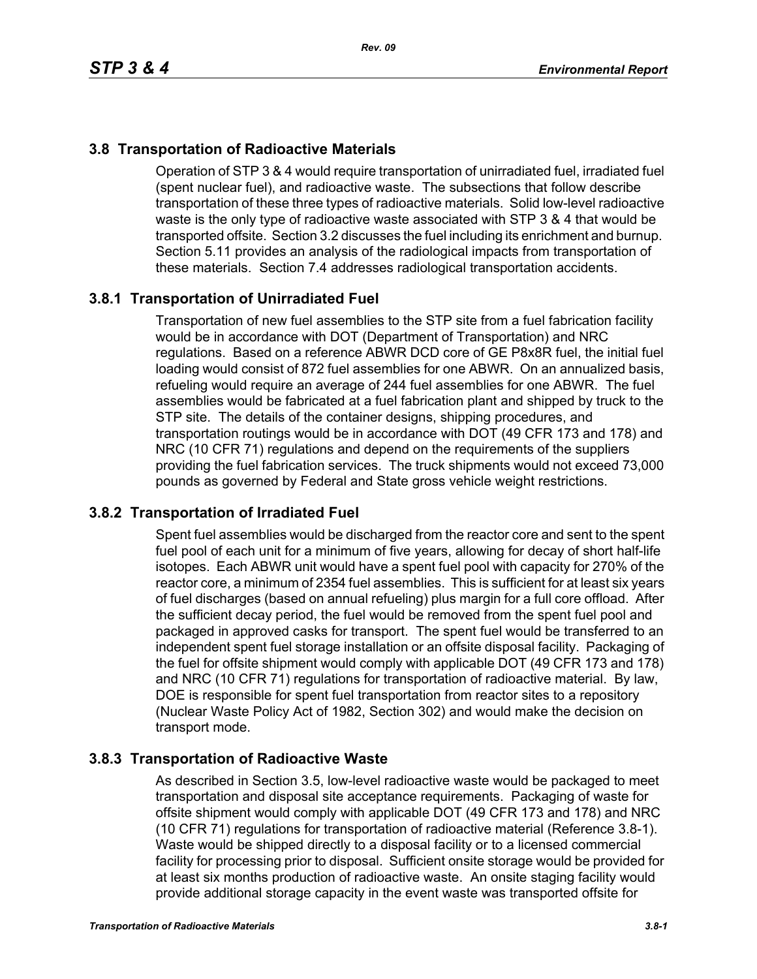# **3.8 Transportation of Radioactive Materials**

Operation of STP 3 & 4 would require transportation of unirradiated fuel, irradiated fuel (spent nuclear fuel), and radioactive waste. The subsections that follow describe transportation of these three types of radioactive materials. Solid low-level radioactive waste is the only type of radioactive waste associated with STP 3 & 4 that would be transported offsite. Section 3.2 discusses the fuel including its enrichment and burnup. Section 5.11 provides an analysis of the radiological impacts from transportation of these materials. Section 7.4 addresses radiological transportation accidents.

## **3.8.1 Transportation of Unirradiated Fuel**

Transportation of new fuel assemblies to the STP site from a fuel fabrication facility would be in accordance with DOT (Department of Transportation) and NRC regulations. Based on a reference ABWR DCD core of GE P8x8R fuel, the initial fuel loading would consist of 872 fuel assemblies for one ABWR. On an annualized basis, refueling would require an average of 244 fuel assemblies for one ABWR. The fuel assemblies would be fabricated at a fuel fabrication plant and shipped by truck to the STP site. The details of the container designs, shipping procedures, and transportation routings would be in accordance with DOT (49 CFR 173 and 178) and NRC (10 CFR 71) regulations and depend on the requirements of the suppliers providing the fuel fabrication services. The truck shipments would not exceed 73,000 pounds as governed by Federal and State gross vehicle weight restrictions.

## **3.8.2 Transportation of Irradiated Fuel**

Spent fuel assemblies would be discharged from the reactor core and sent to the spent fuel pool of each unit for a minimum of five years, allowing for decay of short half-life isotopes. Each ABWR unit would have a spent fuel pool with capacity for 270% of the reactor core, a minimum of 2354 fuel assemblies. This is sufficient for at least six years of fuel discharges (based on annual refueling) plus margin for a full core offload. After the sufficient decay period, the fuel would be removed from the spent fuel pool and packaged in approved casks for transport. The spent fuel would be transferred to an independent spent fuel storage installation or an offsite disposal facility. Packaging of the fuel for offsite shipment would comply with applicable DOT (49 CFR 173 and 178) and NRC (10 CFR 71) regulations for transportation of radioactive material. By law, DOE is responsible for spent fuel transportation from reactor sites to a repository (Nuclear Waste Policy Act of 1982, Section 302) and would make the decision on transport mode.

## **3.8.3 Transportation of Radioactive Waste**

As described in Section 3.5, low-level radioactive waste would be packaged to meet transportation and disposal site acceptance requirements. Packaging of waste for offsite shipment would comply with applicable DOT (49 CFR 173 and 178) and NRC (10 CFR 71) regulations for transportation of radioactive material (Reference 3.8-1). Waste would be shipped directly to a disposal facility or to a licensed commercial facility for processing prior to disposal. Sufficient onsite storage would be provided for at least six months production of radioactive waste. An onsite staging facility would provide additional storage capacity in the event waste was transported offsite for